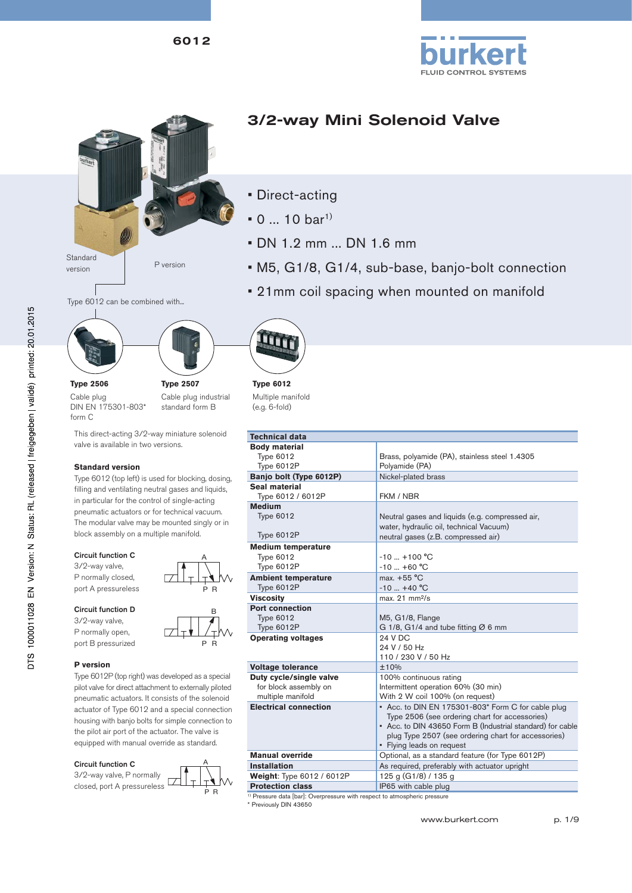6012



**Type 2506** Cable plug

form C

# 3/2-way Mini Solenoid Valve

- Direct-acting
- $0 ... 10 \text{ bar}^{1}$
- DN 1.2 mm ... DN 1.6 mm
- M5, G1/8, G1/4, sub-base, banjo-bolt connection
- 21mm coil spacing when mounted on manifold







DIN EN 175301-803\* **Type 2507** Cable plug industrial standard form B

This direct-acting 3/2-way miniature solenoid valve is available in two versions.

### **Standard version**

Type 6012 (top left) is used for blocking, dosing, filling and ventilating neutral gases and liquids, in particular for the control of single-acting pneumatic actuators or for technical vacuum. The modular valve may be mounted singly or in block assembly on a multiple manifold.

### Circuit function C

3/2-way valve, P normally closed, port A pressureless

### Circuit function D

3/2-way valve, P normally open, port B pressurized

### **P version**

Type 6012P (top right) was developed as a special pilot valve for direct attachment to externally piloted pneumatic actuators. It consists of the solenoid actuator of Type 6012 and a special connection housing with banjo bolts for simple connection to the pilot air port of the actuator. The valve is equipped with manual override as standard.

### Circuit function C





P R

B

P R



**Type 6012** Multiple manifold (e.g. 6-fold)

| <b>Technical data</b>        |                                                            |
|------------------------------|------------------------------------------------------------|
| <b>Body material</b>         |                                                            |
| <b>Type 6012</b>             | Brass, polyamide (PA), stainless steel 1.4305              |
| Type 6012P                   | Polyamide (PA)                                             |
| Banjo bolt (Type 6012P)      | Nickel-plated brass                                        |
| Seal material                |                                                            |
| Type 6012 / 6012P            | FKM / NBR                                                  |
| <b>Medium</b>                |                                                            |
| <b>Type 6012</b>             | Neutral gases and liquids (e.g. compressed air,            |
|                              | water, hydraulic oil, technical Vacuum)                    |
| Type 6012P                   | neutral gases (z.B. compressed air)                        |
| <b>Medium temperature</b>    |                                                            |
| <b>Type 6012</b>             | $-10$ $+100$ °C                                            |
| Type 6012P                   | $-10$ +60 °C                                               |
| <b>Ambient temperature</b>   | $max + 55 °C$                                              |
| Type 6012P                   | $-10$ +40 °C                                               |
| <b>Viscosity</b>             | max. 21 mm <sup>2</sup> /s                                 |
| <b>Port connection</b>       |                                                            |
| <b>Type 6012</b>             | M5, G1/8, Flange                                           |
| Type 6012P                   | G 1/8, G1/4 and tube fitting $Ø 6$ mm                      |
| <b>Operating voltages</b>    | 24 V DC                                                    |
|                              | 24 V / 50 Hz                                               |
|                              | 110 / 230 V / 50 Hz                                        |
| <b>Voltage tolerance</b>     | ±10%                                                       |
| Duty cycle/single valve      | 100% continuous rating                                     |
| for block assembly on        | Intermittent operation 60% (30 min)                        |
| multiple manifold            | With 2 W coil 100% (on request)                            |
| <b>Electrical connection</b> | • Acc. to DIN EN 175301-803* Form C for cable plug         |
|                              | Type 2506 (see ordering chart for accessories)             |
|                              | • Acc. to DIN 43650 Form B (Industrial standard) for cable |
|                              | plug Type 2507 (see ordering chart for accessories)        |
|                              | • Flying leads on request                                  |
| <b>Manual override</b>       | Optional, as a standard feature (for Type 6012P)           |
| <b>Installation</b>          | As required, preferably with actuator upright              |
| Weight: Type 6012 / 6012P    | 125 g (G1/8) / 135 g                                       |
| <b>Protection class</b>      | IP65 with cable plug                                       |
|                              |                                                            |

1) Pressure data [bar]: Overpressure with respect to atmospheric pressure

\* Previously DIN 43650

www.burkert.com p. 1/9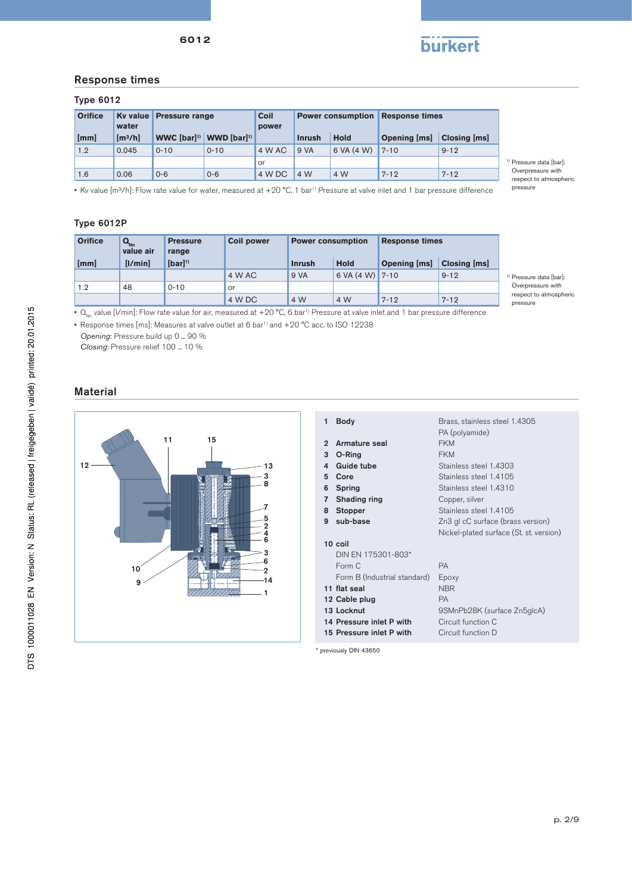

## Response times

### Type 6012

| <b>Orifice</b> | water               | Ky value Pressure range |                                                 | <b>Coil</b><br>power | <b>Power consumption Response times</b> |             |              |              |
|----------------|---------------------|-------------------------|-------------------------------------------------|----------------------|-----------------------------------------|-------------|--------------|--------------|
| [mm]           | [m <sup>3</sup> /h] |                         | WWC [bar] <sup>1)</sup> WWD [bar] <sup>1)</sup> |                      | <b>Inrush</b>                           | <b>Hold</b> | Opening [ms] | Closing [ms] |
| 1.2            | 0.045               | $0 - 10$                | $0 - 10$                                        | 4 W AC               | 9 VA                                    | 6 VA (4 W)  | $7 - 10$     | $9 - 12$     |
|                |                     |                         |                                                 | or                   |                                         |             |              |              |
| 1.6            | 0.06                | $0 - 6$                 | $0 - 6$                                         | 4 W DC               | 4 W                                     | 4 W         | $7 - 12$     | $7 - 12$     |

1) Pressure data [bar]: Overpressure with respect to atmospheric pressure

• Kv value [m<sup>3</sup>/h]: Flow rate value for water, measured at +20 °C, 1 bar<sup>1)</sup> Pressure at valve inlet and 1 bar pressure difference

### Type 6012P

| <b>Orifice</b> | <b>Q<sub>ND</sub></b><br>value air | <b>Pressure</b><br>range | <b>Coil power</b><br><b>Power consumption</b><br><b>Response times</b> |               |                           |                     |                     |
|----------------|------------------------------------|--------------------------|------------------------------------------------------------------------|---------------|---------------------------|---------------------|---------------------|
| [mm]           | [I/min]                            | $[bar]$ <sup>1)</sup>    |                                                                        | <b>Inrush</b> | <b>Hold</b>               | <b>Opening [ms]</b> | <b>Closing [ms]</b> |
|                |                                    |                          | 4 W AC                                                                 | 9 VA          | 6 VA $(4 \text{ W})$ 7-10 |                     | $9 - 12$            |
| 1.2            | 48                                 | $0 - 10$                 | or                                                                     |               |                           |                     |                     |
|                |                                    |                          | 4 W DC                                                                 | 4 W           | 4 W                       | $7 - 12$            | $7 - 12$            |

<sup>1)</sup> Pressure data [bar]: Overpressure with respect to atmospheric pressure

•  $Q_{n_n}$  value [I/min]: Flow rate value for air, measured at +20 °C, 6 bar<sup>1)</sup> Pressure at valve inlet and 1 bar pressure difference

• Response times [ms]: Measures at valve outlet at 6 bar<sup>1)</sup> and +20 °C acc. to ISO 12238

*Opening*: Pressure build up 0 ... 90 %

*Closing*: Pressure relief 100 ... 10 %

# Material



\* previously DIN 43650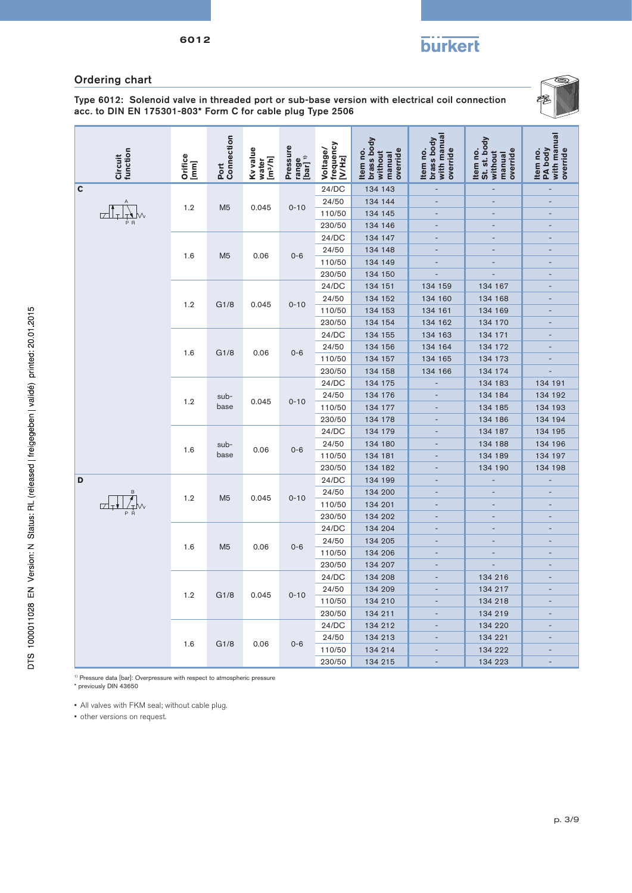**burkert** 

# Ordering chart

6012

Type 6012: Solenoid valve in threaded port or sub-base version with electrical coil connection acc. to DIN EN 175301-803\* Form C for cable plug Type 2506



|   | Circuit<br>function | Orifice<br>[mm] | Port<br>Connection | Kv value<br>[m <sup>3</sup> /h]<br>water | Pressure<br>range<br>[bar] <sup>1)</sup> | Voltage/<br>frequency<br>[V/Hz] | brass body<br>override<br>Item no.<br>without<br>manual | with manual<br>brass body<br>Item no.<br>override | St. st. body<br>Item no.<br>override<br>without<br>manual | with manual<br>PA body<br>override<br>Item no. |       |         |  |         |
|---|---------------------|-----------------|--------------------|------------------------------------------|------------------------------------------|---------------------------------|---------------------------------------------------------|---------------------------------------------------|-----------------------------------------------------------|------------------------------------------------|-------|---------|--|---------|
| C |                     |                 |                    |                                          |                                          | 24/DC                           | 134 143                                                 | $\overline{a}$                                    | $\overline{a}$                                            | ÷,                                             |       |         |  |         |
|   |                     | 1.2             | M <sub>5</sub>     | 0.045                                    | $0 - 10$                                 | 24/50                           | 134 144                                                 | $\overline{\phantom{a}}$                          | $\overline{a}$                                            | $\overline{\phantom{a}}$                       |       |         |  |         |
|   |                     |                 |                    |                                          |                                          | 110/50                          | 134 145                                                 | Ē.                                                |                                                           |                                                |       |         |  |         |
|   |                     |                 |                    |                                          |                                          | 230/50                          | 134 146                                                 | Ξ                                                 | Ξ                                                         |                                                |       |         |  |         |
|   |                     |                 |                    |                                          |                                          | 24/DC                           | 134 147                                                 | $\overline{\phantom{a}}$                          | $\overline{\phantom{a}}$                                  | $\overline{\phantom{a}}$                       |       |         |  |         |
|   |                     | 1.6             | M <sub>5</sub>     | 0.06                                     | $0 - 6$                                  | 24/50                           | 134 148                                                 | L,                                                | L,                                                        | $\overline{\phantom{a}}$                       |       |         |  |         |
|   |                     |                 |                    |                                          |                                          | 110/50                          | 134 149                                                 | $\overline{a}$                                    | $\overline{a}$                                            | ÷,                                             |       |         |  |         |
|   |                     |                 |                    |                                          |                                          | 230/50                          | 134 150                                                 |                                                   |                                                           | $\overline{\phantom{a}}$                       |       |         |  |         |
|   |                     |                 |                    |                                          |                                          | 24/DC                           | 134 151                                                 | 134 159                                           | 134 167                                                   |                                                |       |         |  |         |
|   |                     | 1.2             | G1/8               | 0.045                                    | $0 - 10$                                 | 24/50                           | 134 152                                                 | 134 160                                           | 134 168                                                   |                                                |       |         |  |         |
|   |                     |                 |                    |                                          |                                          | 110/50                          | 134 153                                                 | 134 161                                           | 134 169                                                   | $\overline{\phantom{a}}$                       |       |         |  |         |
|   |                     |                 |                    |                                          |                                          | 230/50                          | 134 154                                                 | 134 162                                           | 134 170                                                   | $\overline{\phantom{a}}$                       |       |         |  |         |
|   |                     |                 |                    |                                          |                                          | 24/DC                           | 134 155                                                 | 134 163                                           | 134 171                                                   |                                                |       |         |  |         |
|   |                     | 1.6             | G1/8               | 0.06                                     | $0 - 6$                                  | 24/50                           | 134 156                                                 | 134 164                                           | 134 172                                                   | $\qquad \qquad \blacksquare$                   |       |         |  |         |
|   |                     |                 |                    |                                          |                                          | 110/50                          | 134 157                                                 | 134 165                                           | 134 173                                                   |                                                |       |         |  |         |
|   |                     |                 |                    |                                          |                                          | 230/50                          | 134 158                                                 | 134 166                                           | 134 174                                                   |                                                |       |         |  |         |
|   |                     |                 |                    |                                          |                                          | 24/DC                           | 134 175                                                 |                                                   | 134 183                                                   | 134 191                                        |       |         |  |         |
|   |                     | 1.2             | sub-               | 0.045                                    | $0 - 10$                                 | 24/50                           | 134 176                                                 |                                                   | 134 184                                                   | 134 192                                        |       |         |  |         |
|   |                     |                 | base               |                                          |                                          | 110/50                          | 134 177                                                 |                                                   | 134 185                                                   | 134 193                                        |       |         |  |         |
|   |                     |                 |                    |                                          |                                          | 230/50                          | 134 178                                                 |                                                   | 134 186                                                   | 134 194                                        |       |         |  |         |
|   |                     |                 |                    |                                          |                                          |                                 |                                                         |                                                   |                                                           |                                                | 24/DC | 134 179 |  | 134 187 |
|   |                     | 1.6             | sub-               | 0.06                                     | $0 - 6$                                  | 24/50                           | 134 180                                                 |                                                   | 134 188                                                   | 134 196                                        |       |         |  |         |
|   |                     |                 | base               |                                          |                                          | 110/50                          | 134 181                                                 | $\overline{a}$                                    | 134 189                                                   | 134 197                                        |       |         |  |         |
|   |                     |                 |                    |                                          |                                          | 230/50                          | 134 182                                                 | Ē.                                                | 134 190                                                   | 134 198                                        |       |         |  |         |
| D | $\mathsf B$         |                 |                    |                                          |                                          | 24/DC                           | 134 199                                                 | $\overline{a}$<br>$\overline{a}$                  | $\overline{a}$                                            | $\overline{a}$                                 |       |         |  |         |
|   |                     | 1.2             | M <sub>5</sub>     | 0.045                                    | $0 - 10$                                 | 24/50                           | 134 200                                                 | $\overline{a}$                                    |                                                           | $\overline{\phantom{a}}$                       |       |         |  |         |
|   |                     |                 |                    |                                          |                                          | 110/50<br>230/50                | 134 201                                                 |                                                   |                                                           |                                                |       |         |  |         |
|   |                     |                 |                    |                                          |                                          | 24/DC                           | 134 202<br>134 204                                      | $\overline{a}$                                    | ÷,                                                        | ÷,                                             |       |         |  |         |
|   |                     |                 |                    |                                          |                                          | 24/50                           | 134 205                                                 | $\overline{a}$                                    | ÷,                                                        | ÷                                              |       |         |  |         |
|   |                     | 1.6             | M <sub>5</sub>     | 0.06                                     | $0 - 6$                                  | 110/50                          | 134 206                                                 | -                                                 | $\overline{a}$                                            |                                                |       |         |  |         |
|   |                     |                 |                    |                                          |                                          | 230/50                          | 134 207                                                 | $\overline{a}$                                    | $\overline{\phantom{a}}$                                  | $\overline{\phantom{a}}$                       |       |         |  |         |
|   |                     |                 |                    |                                          |                                          | 24/DC                           | 134 208                                                 | $\overline{\phantom{a}}$                          | 134 216                                                   | ÷                                              |       |         |  |         |
|   |                     |                 |                    |                                          |                                          | 24/50                           | 134 209                                                 | $\overline{a}$                                    | 134 217                                                   | -                                              |       |         |  |         |
|   | 1.2<br>G1/8         | 0.045           | $0 - 10$           | 110/50                                   | 134 210                                  | Ē,                              | 134 218                                                 | $\overline{a}$                                    |                                                           |                                                |       |         |  |         |
|   |                     |                 |                    |                                          |                                          | 230/50                          | 134 211                                                 | $\overline{\phantom{a}}$                          | 134 219                                                   | $\qquad \qquad \blacksquare$                   |       |         |  |         |
|   |                     |                 |                    |                                          |                                          | 24/DC                           | 134 212                                                 | $\overline{a}$                                    | 134 220                                                   | $\overline{\phantom{a}}$                       |       |         |  |         |
|   |                     |                 |                    |                                          |                                          | 24/50                           | 134 213                                                 |                                                   | 134 221                                                   |                                                |       |         |  |         |
|   |                     | 1.6             | G1/8               | 0.06                                     | $0 - 6$                                  | 110/50                          | 134 214                                                 |                                                   | 134 222                                                   |                                                |       |         |  |         |
|   |                     |                 |                    |                                          |                                          | 230/50                          | 134 215                                                 | $\overline{\phantom{a}}$                          | 134 223                                                   | ÷,                                             |       |         |  |         |

1) Pressure data [bar]: Overpressure with respect to atmospheric pressure

\* previously DIN 43650

• All valves with FKM seal; without cable plug.

• other versions on request.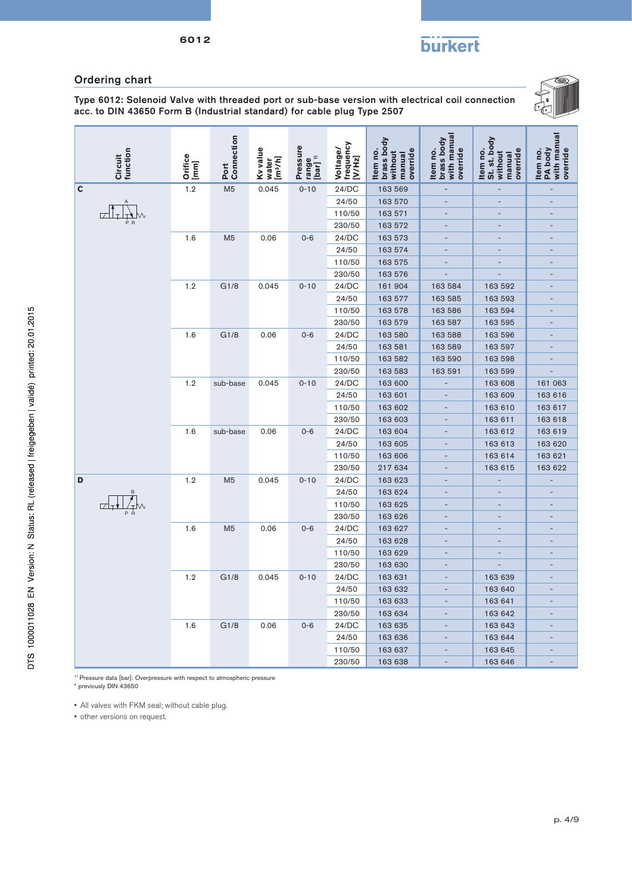**burkert** 

# Ordering chart

6012

Type 6012: Solenoid Valve with threaded port or sub-base version with electrical coil connection acc. to DIN 43650 Form B (Industrial standard) for cable plug Type 2507



|   | Circuit<br>function | Orifice<br>[mm] | Connection<br>Port | Ky value<br>[m <sup>3</sup> /h]<br>water | Pressure<br>range<br>[bar] <sup>1)</sup> | frequency<br>Voltage/<br>[V/Hz] | brass body<br>Item no.<br>override<br>without<br>manual | with manual<br>brass body<br>Item no.<br>override | St. st. body<br>Item no.<br>override<br>without<br>manual | with manual<br>PA body<br>override<br>Item no. |
|---|---------------------|-----------------|--------------------|------------------------------------------|------------------------------------------|---------------------------------|---------------------------------------------------------|---------------------------------------------------|-----------------------------------------------------------|------------------------------------------------|
| C |                     | 1.2             | M <sub>5</sub>     | 0.045                                    | $0 - 10$                                 | 24/DC                           | 163 569                                                 | $\overline{\phantom{a}}$                          | Ξ                                                         | $\overline{\phantom{a}}$                       |
|   |                     |                 |                    |                                          |                                          | 24/50                           | 163 570                                                 | ÷                                                 | ÷                                                         | $\overline{a}$                                 |
|   |                     |                 |                    |                                          |                                          | 110/50                          | 163 571                                                 |                                                   |                                                           |                                                |
|   |                     |                 |                    |                                          |                                          | 230/50                          | 163 572                                                 | $\overline{\phantom{a}}$                          | $\overline{a}$                                            | $\overline{\phantom{a}}$                       |
|   |                     | 1.6             | M <sub>5</sub>     | 0.06                                     | $0 - 6$                                  | 24/DC                           | 163 573                                                 | $\qquad \qquad -$                                 | $\overline{a}$                                            | $\overline{\phantom{a}}$                       |
|   |                     |                 |                    |                                          |                                          | 24/50                           | 163 574                                                 | $\overline{a}$                                    |                                                           |                                                |
|   |                     |                 |                    |                                          |                                          | 110/50                          | 163 575                                                 |                                                   |                                                           |                                                |
|   |                     |                 |                    |                                          |                                          | 230/50                          | 163 576                                                 |                                                   | Ē.                                                        |                                                |
|   |                     | 1.2             | G1/8               | 0.045                                    | $0 - 10$                                 | 24/DC                           | 161 904                                                 | 163 584                                           | 163 592                                                   |                                                |
|   |                     |                 |                    |                                          |                                          | 24/50                           | 163 577                                                 | 163 585                                           | 163 593                                                   | $\qquad \qquad \blacksquare$                   |
|   |                     |                 |                    |                                          |                                          | 110/50                          | 163 578                                                 | 163 586                                           | 163 594                                                   | $\overline{\phantom{a}}$                       |
|   |                     |                 |                    |                                          |                                          | 230/50                          | 163 579                                                 | 163 587                                           | 163 595                                                   |                                                |
|   |                     | 1.6             | G1/8               | 0.06                                     | $0 - 6$                                  | 24/DC                           | 163 580                                                 | 163 588                                           | 163 596                                                   |                                                |
|   |                     |                 |                    |                                          |                                          | 24/50                           | 163 581                                                 | 163 589                                           | 163 597                                                   |                                                |
|   |                     |                 |                    |                                          |                                          | 110/50                          | 163 582                                                 | 163 590                                           | 163 598                                                   |                                                |
|   |                     |                 |                    |                                          |                                          | 230/50                          | 163 583                                                 | 163 591                                           | 163 599                                                   |                                                |
|   |                     | 1.2             | sub-base           | 0.045                                    | $0 - 10$                                 | 24/DC                           | 163 600                                                 |                                                   | 163 608                                                   | 161 063                                        |
|   |                     |                 |                    |                                          |                                          | 24/50                           | 163 601                                                 |                                                   | 163 609                                                   | 163 616                                        |
|   |                     |                 |                    |                                          |                                          | 110/50                          | 163 602                                                 |                                                   | 163 610                                                   | 163 617                                        |
|   |                     |                 |                    |                                          |                                          | 230/50                          | 163 603                                                 |                                                   | 163 611                                                   | 163 618                                        |
|   |                     | 1.6             | sub-base           | 0.06                                     | $0 - 6$                                  | 24/DC                           | 163 604                                                 |                                                   | 163 612                                                   | 163 619                                        |
|   |                     |                 |                    |                                          |                                          | 24/50                           | 163 605                                                 | ٠                                                 | 163 613                                                   | 163 620                                        |
|   |                     |                 |                    |                                          |                                          | 110/50                          | 163 606                                                 |                                                   | 163 614                                                   | 163 621                                        |
|   |                     |                 |                    |                                          |                                          | 230/50                          | 217 634                                                 |                                                   | 163 615                                                   | 163 622                                        |
| D |                     | 1.2             | M <sub>5</sub>     | 0.045                                    | $0 - 10$                                 | 24/DC                           | 163 623                                                 | $\overline{\phantom{a}}$                          | Ξ                                                         | ÷,                                             |
|   |                     |                 |                    |                                          |                                          | 24/50                           | 163 624                                                 |                                                   |                                                           |                                                |
|   |                     |                 |                    |                                          |                                          | 110/50                          | 163 625                                                 |                                                   |                                                           |                                                |
|   |                     |                 |                    |                                          |                                          | 230/50                          | 163 626                                                 | $\overline{\phantom{a}}$                          | $\overline{a}$                                            | $\overline{\phantom{a}}$                       |
|   |                     | 1.6             | M <sub>5</sub>     | 0.06                                     | $0 - 6$                                  | 24/DC                           | 163 627                                                 |                                                   |                                                           |                                                |
|   |                     |                 |                    |                                          |                                          | 24/50                           | 163 628                                                 |                                                   |                                                           |                                                |
|   |                     |                 |                    |                                          |                                          | 110/50                          | 163 629                                                 |                                                   | $\overline{a}$                                            |                                                |
|   |                     |                 |                    |                                          |                                          | 230/50                          | 163 630                                                 |                                                   |                                                           |                                                |
|   |                     | 1.2             | G1/8               | 0.045                                    | $0 - 10$                                 | 24/DC                           | 163 631                                                 |                                                   | 163 639                                                   |                                                |
|   |                     |                 |                    |                                          |                                          | 24/50                           | 163 632                                                 | $\overline{a}$                                    | 163 640                                                   | $\overline{\phantom{a}}$                       |
|   |                     |                 |                    |                                          |                                          | 110/50                          | 163 633                                                 | $\overline{a}$                                    | 163 641                                                   | $\overline{\phantom{a}}$                       |
|   |                     |                 |                    |                                          |                                          | 230/50                          | 163 634                                                 |                                                   | 163 642                                                   |                                                |
|   |                     | 1.6             | G1/8               | 0.06                                     | $0 - 6$                                  | 24/DC                           | 163 635                                                 | $\overline{a}$                                    | 163 643                                                   | $\overline{\phantom{a}}$                       |
|   |                     |                 |                    |                                          |                                          | 24/50                           | 163 636                                                 |                                                   | 163 644                                                   |                                                |
|   |                     |                 |                    |                                          |                                          | 110/50                          | 163 637                                                 |                                                   | 163 645                                                   |                                                |
|   |                     |                 |                    |                                          |                                          | 230/50                          | 163 638                                                 |                                                   | 163 646                                                   |                                                |

1) Pressure data [bar]: Overpressure with respect to atmospheric pressure

\* previously DIN 43650

• All valves with FKM seal; without cable plug.

• other versions on request.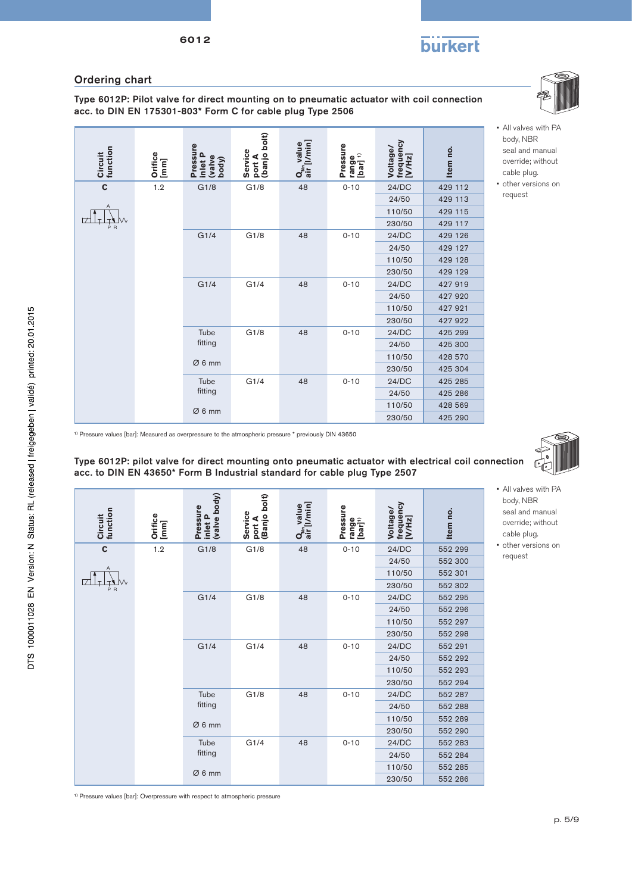# **burkert**

# Ordering chart

Type 6012P: Pilot valve for direct mounting on to pneumatic actuator with coil connection acc. to DIN EN 175301-803\* Form C for cable plug Type 2506



1) Pressure values [bar]: Measured as overpressure to the atmospheric pressure \* previously DIN 43650

Type 6012P: pilot valve for direct mounting onto pneumatic actuator with electrical coil connection acc. to DIN EN 43650\* Form B Industrial standard for cable plug Type 2507

| Circuit<br>function | Orifice<br>[mm] | (valve body)<br><b>Pressure</b><br>inlet P | port A<br>(Banjo bolt)<br>Service | $Q_{N_n}$ value<br>air [I/min] | Pressure<br>range<br>[bar] <sup>1)</sup> | frequency<br>Voltage/<br>[VMHz] | Item no. |  |  |        |         |       |         |  |
|---------------------|-----------------|--------------------------------------------|-----------------------------------|--------------------------------|------------------------------------------|---------------------------------|----------|--|--|--------|---------|-------|---------|--|
| $\mathbf c$         | 1.2             | G1/8                                       | G1/8                              | 48                             | $0 - 10$                                 | 24/DC                           | 552 299  |  |  |        |         |       |         |  |
|                     |                 |                                            |                                   |                                |                                          | 24/50                           | 552 300  |  |  |        |         |       |         |  |
| Α                   |                 |                                            |                                   |                                |                                          | 110/50                          | 552 301  |  |  |        |         |       |         |  |
| ėв                  |                 |                                            |                                   |                                |                                          | 230/50                          | 552 302  |  |  |        |         |       |         |  |
|                     |                 | G1/4                                       | G1/8                              | 48                             | $0 - 10$                                 | 24/DC                           | 552 295  |  |  |        |         |       |         |  |
|                     |                 |                                            |                                   |                                |                                          | 24/50                           | 552 296  |  |  |        |         |       |         |  |
|                     |                 |                                            |                                   |                                |                                          | 110/50                          | 552 297  |  |  |        |         |       |         |  |
|                     |                 |                                            |                                   |                                |                                          | 230/50                          | 552 298  |  |  |        |         |       |         |  |
|                     |                 | G1/4                                       | G1/4                              | 48                             | $0 - 10$                                 | 24/DC                           | 552 291  |  |  |        |         |       |         |  |
|                     |                 |                                            |                                   |                                |                                          |                                 |          |  |  |        |         | 24/50 | 552 292 |  |
|                     |                 |                                            |                                   |                                |                                          |                                 |          |  |  |        |         |       |         |  |
|                     |                 |                                            |                                   |                                |                                          |                                 |          |  |  | 230/50 | 552 294 |       |         |  |
|                     |                 | Tube                                       | G1/8                              | 48                             | $0 - 10$                                 | 24/DC                           | 552 287  |  |  |        |         |       |         |  |
|                     |                 | fitting                                    |                                   |                                |                                          | 24/50                           | 552 288  |  |  |        |         |       |         |  |
|                     |                 | Ø6mm                                       |                                   |                                |                                          | 110/50                          | 552 289  |  |  |        |         |       |         |  |
|                     |                 |                                            |                                   |                                |                                          | 230/50                          | 552 290  |  |  |        |         |       |         |  |
|                     |                 | Tube                                       | G1/4                              | 48                             | $0 - 10$                                 | 24/DC                           | 552 283  |  |  |        |         |       |         |  |
|                     |                 | fitting                                    |                                   |                                |                                          | 24/50                           | 552 284  |  |  |        |         |       |         |  |
|                     |                 | Ø6mm                                       |                                   |                                |                                          | 110/50                          | 552 285  |  |  |        |         |       |         |  |
|                     |                 |                                            |                                   |                                |                                          | 230/50                          | 552 286  |  |  |        |         |       |         |  |

<sup>1)</sup> Pressure values [bar]: Overpressure with respect to atmospheric pressure



• All valves with PA body, NBR seal and manual override; without cable plug.

• All valves with PA body, NBR seal and manual override; without cable plug. • other versions on request

• other versions on request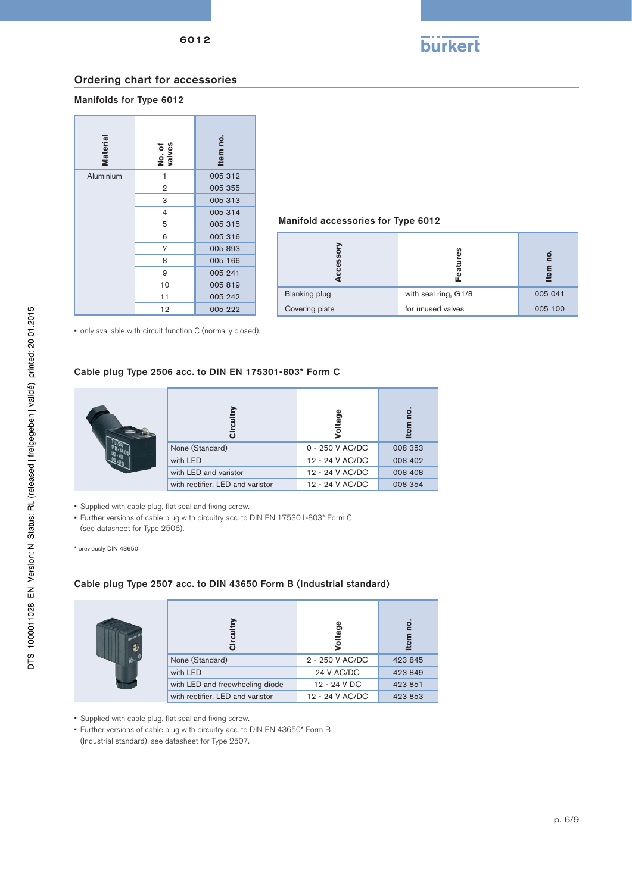

### Ordering chart for accessories

### Manifolds for Type 6012



# Manifold accessories for Type 6012

|                      |                      | ω       |  |
|----------------------|----------------------|---------|--|
| <b>Blanking plug</b> | with seal ring, G1/8 | 005 041 |  |
| Covering plate       | for unused valves    | 005 100 |  |

• only available with circuit function C (normally closed).

### Cable plug Type 2506 acc. to DIN EN 175301-803\* Form C



• Supplied with cable plug, flat seal and fixing screw.

• Further versions of cable plug with circuitry acc. to DIN EN 175301-803\* Form C (see datasheet for Type 2506).

\* previously DIN 43650

### Cable plug Type 2507 acc. to DIN 43650 Form B (Industrial standard)

|                                  | Ω               | ढ       |
|----------------------------------|-----------------|---------|
| None (Standard)                  | 2 - 250 V AC/DC | 423 845 |
| with LED                         | 24 V AC/DC      | 423 849 |
| with LED and freewheeling diode  | 12 - 24 V DC    | 423 851 |
| with rectifier, LED and varistor | 12 - 24 V AC/DC | 423 853 |

• Supplied with cable plug, flat seal and fixing screw.

• Further versions of cable plug with circuitry acc. to DIN EN 43650\* Form B

(Industrial standard), see datasheet for Type 2507.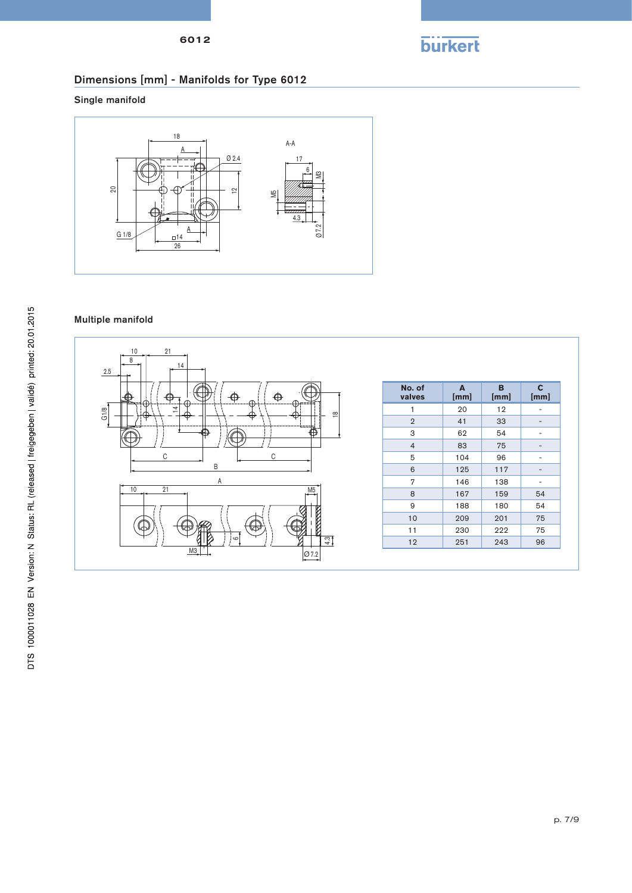



# Dimensions [mm] - Manifolds for Type 6012

Single manifold



# Multiple manifold

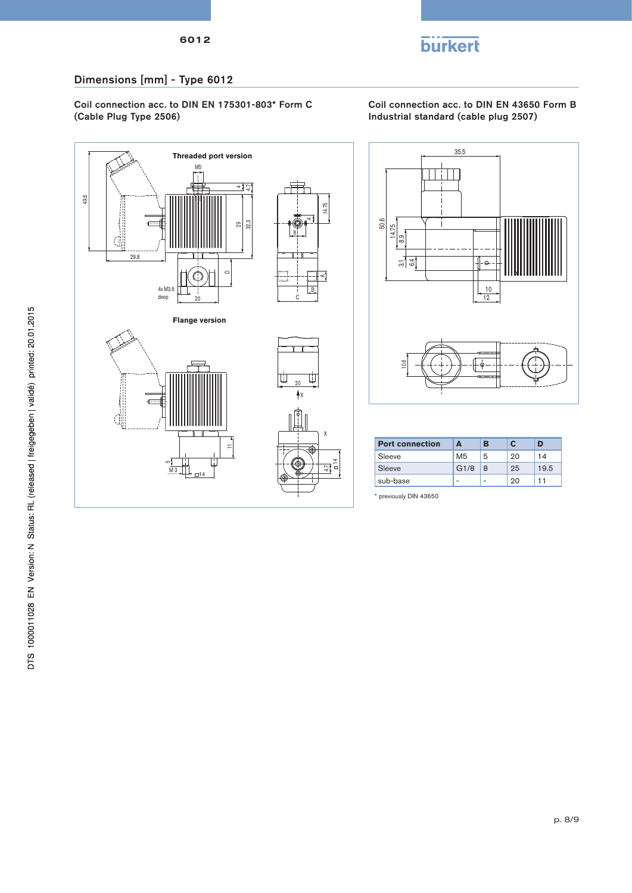

# Dimensions [mm] - Type 6012

Coil connection acc. to DIN EN 175301-803\* Form C (Cable Plug Type 2506)

Coil connection acc. to DIN EN 43650 Form B Industrial standard (cable plug 2507)



35.5 50.6 14.75 თ<br>თ  $\overline{3}$ 6.4 f⊦⊶ 10 12 10.6

| <b>Port connection</b> | А    | R |    | D    |
|------------------------|------|---|----|------|
| Sleeve                 | M5   | 5 | 20 | 14   |
| Sleeve                 | G1/8 | 8 | 25 | 19.5 |
| sub-base               |      | ٠ | 20 |      |

\* previously DIN 43650